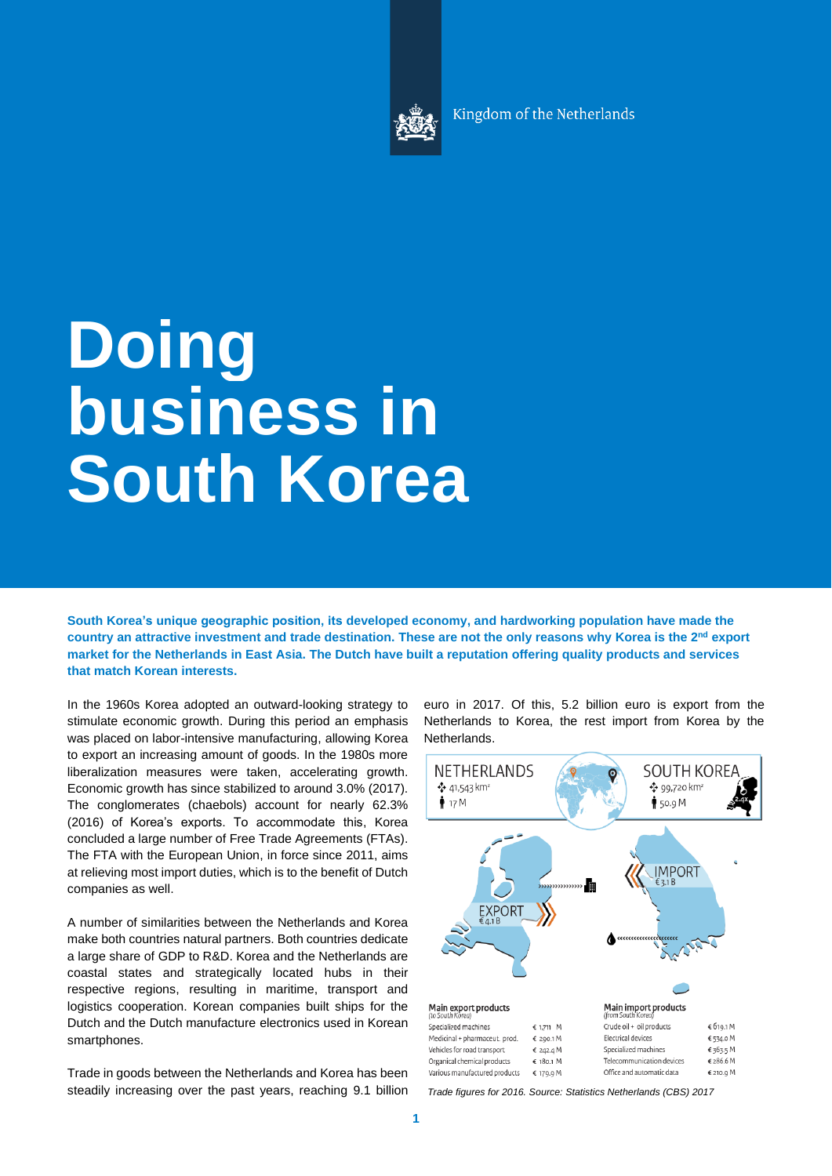

Kingdom of the Netherlands

# **Doing business in South Korea**

**South Korea's unique geographic position, its developed economy, and hardworking population have made the country an attractive investment and trade destination. These are not the only reasons why Korea is the 2 nd export market for the Netherlands in East Asia. The Dutch have built a reputation offering quality products and services that match Korean interests.**

In the 1960s Korea adopted an outward-looking strategy to stimulate economic growth. During this period an emphasis was placed on labor-intensive manufacturing, allowing Korea to export an increasing amount of goods. In the 1980s more liberalization measures were taken, accelerating growth. Economic growth has since stabilized to around 3.0% (2017). The conglomerates (chaebols) account for nearly 62.3% (2016) of Korea's exports. To accommodate this, Korea concluded a large number of Free Trade Agreements (FTAs). The FTA with the European Union, in force since 2011, aims at relieving most import duties, which is to the benefit of Dutch companies as well.

A number of similarities between the Netherlands and Korea make both countries natural partners. Both countries dedicate a large share of GDP to R&D. Korea and the Netherlands are coastal states and strategically located hubs in their respective regions, resulting in maritime, transport and logistics cooperation. Korean companies built ships for the Dutch and the Dutch manufacture electronics used in Korean smartphones.

Trade in goods between the Netherlands and Korea has been steadily increasing over the past years, reaching 9.1 billion euro in 2017. Of this, 5.2 billion euro is export from the Netherlands to Korea, the rest import from Korea by the Netherlands.



*Trade figures for 2016. Source: Statistics Netherlands (CBS) 2017*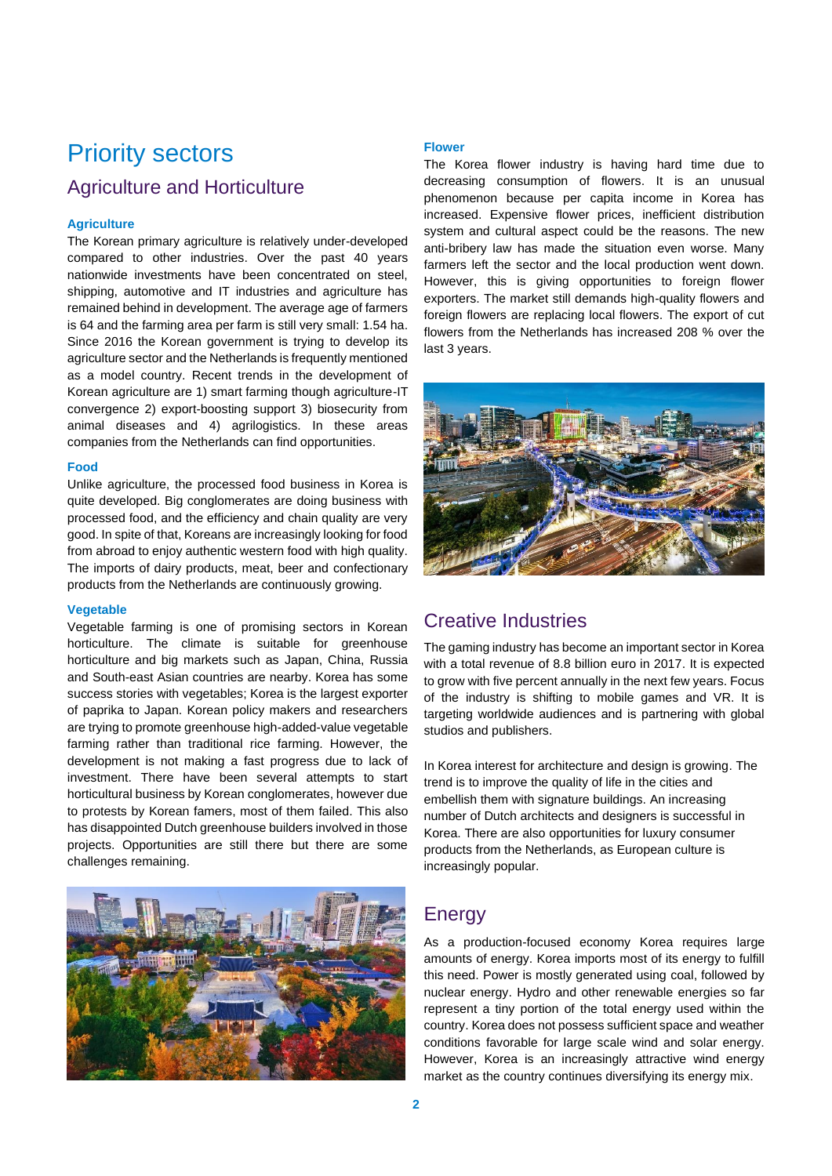## Priority sectors

### Agriculture and Horticulture

### **Agriculture**

The Korean primary agriculture is relatively under-developed compared to other industries. Over the past 40 years nationwide investments have been concentrated on steel, shipping, automotive and IT industries and agriculture has remained behind in development. The average age of farmers is 64 and the farming area per farm is still very small: 1.54 ha. Since 2016 the Korean government is trying to develop its agriculture sector and the Netherlands is frequently mentioned as a model country. Recent trends in the development of Korean agriculture are 1) smart farming though agriculture-IT convergence 2) export-boosting support 3) biosecurity from animal diseases and 4) agrilogistics. In these areas companies from the Netherlands can find opportunities.

### **Food**

Unlike agriculture, the processed food business in Korea is quite developed. Big conglomerates are doing business with processed food, and the efficiency and chain quality are very good. In spite of that, Koreans are increasingly looking for food from abroad to enjoy authentic western food with high quality. The imports of dairy products, meat, beer and confectionary products from the Netherlands are continuously growing.

#### **Vegetable**

Vegetable farming is one of promising sectors in Korean horticulture. The climate is suitable for greenhouse horticulture and big markets such as Japan, China, Russia and South-east Asian countries are nearby. Korea has some success stories with vegetables; Korea is the largest exporter of paprika to Japan. Korean policy makers and researchers are trying to promote greenhouse high-added-value vegetable farming rather than traditional rice farming. However, the development is not making a fast progress due to lack of investment. There have been several attempts to start horticultural business by Korean conglomerates, however due to protests by Korean famers, most of them failed. This also has disappointed Dutch greenhouse builders involved in those projects. Opportunities are still there but there are some challenges remaining.



### **Flower**

The Korea flower industry is having hard time due to decreasing consumption of flowers. It is an unusual phenomenon because per capita income in Korea has increased. Expensive flower prices, inefficient distribution system and cultural aspect could be the reasons. The new anti-bribery law has made the situation even worse. Many farmers left the sector and the local production went down. However, this is giving opportunities to foreign flower exporters. The market still demands high-quality flowers and foreign flowers are replacing local flowers. The export of cut flowers from the Netherlands has increased 208 % over the last 3 years.



### Creative Industries

The gaming industry has become an important sector in Korea with a total revenue of 8.8 billion euro in 2017. It is expected to grow with five percent annually in the next few years. Focus of the industry is shifting to mobile games and VR. It is targeting worldwide audiences and is partnering with global studios and publishers.

In Korea interest for architecture and design is growing. The trend is to improve the quality of life in the cities and embellish them with signature buildings. An increasing number of Dutch architects and designers is successful in Korea. There are also opportunities for luxury consumer products from the Netherlands, as European culture is increasingly popular.

### Energy

As a production-focused economy Korea requires large amounts of energy. Korea imports most of its energy to fulfill this need. Power is mostly generated using coal, followed by nuclear energy. Hydro and other renewable energies so far represent a tiny portion of the total energy used within the country. Korea does not possess sufficient space and weather conditions favorable for large scale wind and solar energy. However, Korea is an increasingly attractive wind energy market as the country continues diversifying its energy mix.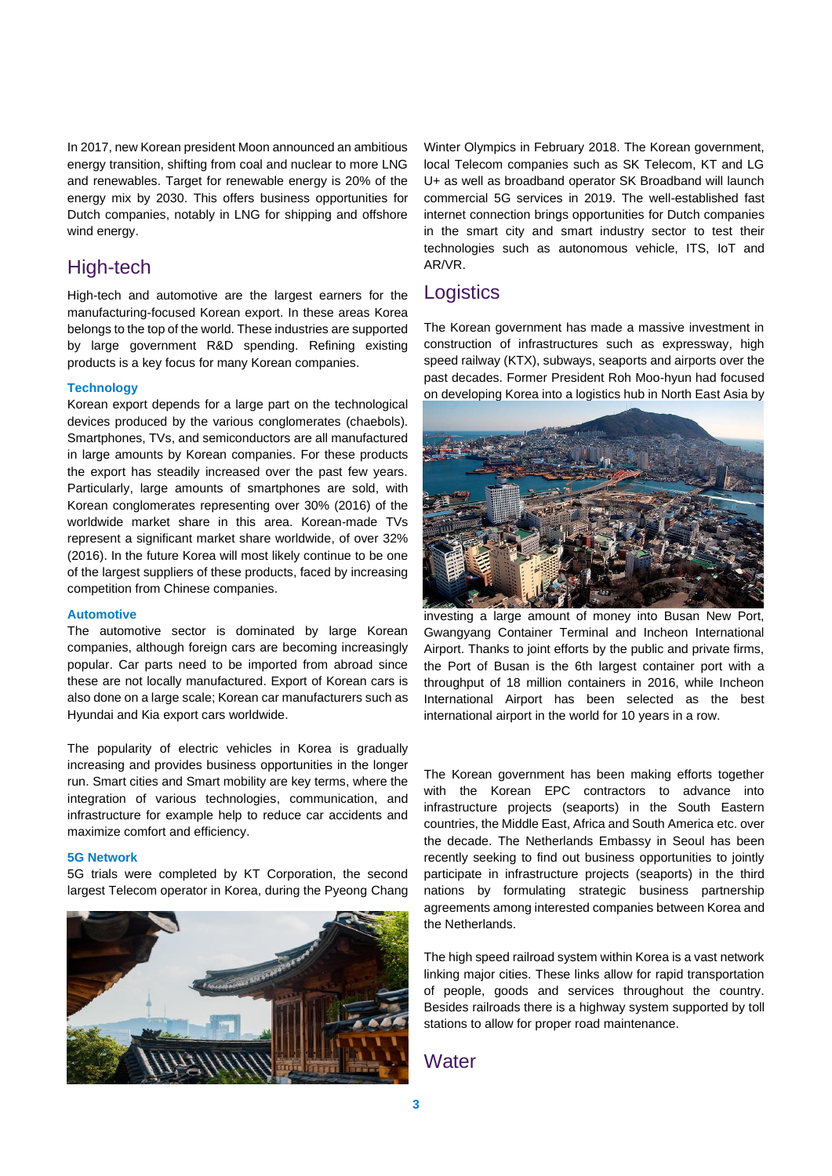In 2017, new Korean president Moon announced an ambitious energy transition, shifting from coal and nuclear to more LNG and renewables. Target for renewable energy is 20% of the energy mix by 2030. This offers business opportunities for Dutch companies, notably in LNG for shipping and offshore wind energy.

### High-tech

High-tech and automotive are the largest earners for the manufacturing-focused Korean export. In these areas Korea belongs to the top of the world. These industries are supported by large government R&D spending. Refining existing products is a key focus for many Korean companies.

### **Technology**

Korean export depends for a large part on the technological devices produced by the various conglomerates (chaebols). Smartphones, TVs, and semiconductors are all manufactured in large amounts by Korean companies. For these products the export has steadily increased over the past few years. Particularly, large amounts of smartphones are sold, with Korean conglomerates representing over 30% (2016) of the worldwide market share in this area. Korean-made TVs represent a significant market share worldwide, of over 32% (2016). In the future Korea will most likely continue to be one of the largest suppliers of these products, faced by increasing competition from Chinese companies.

#### **Automotive**

The automotive sector is dominated by large Korean companies, although foreign cars are becoming increasingly popular. Car parts need to be imported from abroad since these are not locally manufactured. Export of Korean cars is also done on a large scale; Korean car manufacturers such as Hyundai and Kia export cars worldwide.

The popularity of electric vehicles in Korea is gradually increasing and provides business opportunities in the longer run. Smart cities and Smart mobility are key terms, where the integration of various technologies, communication, and infrastructure for example help to reduce car accidents and maximize comfort and efficiency.

#### **5G Network**

5G trials were completed by KT Corporation, the second largest Telecom operator in Korea, during the Pyeong Chang



Winter Olympics in February 2018. The Korean government, local Telecom companies such as SK Telecom, KT and LG U+ as well as broadband operator SK Broadband will launch commercial 5G services in 2019. The well-established fast internet connection brings opportunities for Dutch companies in the smart city and smart industry sector to test their technologies such as autonomous vehicle, ITS, IoT and AR/VR.

### **Logistics**

The Korean government has made a massive investment in construction of infrastructures such as expressway, high speed railway (KTX), subways, seaports and airports over the past decades. Former President Roh Moo-hyun had focused on developing Korea into a logistics hub in North East Asia by



investing a large amount of money into Busan New Port, Gwangyang Container Terminal and Incheon International Airport. Thanks to joint efforts by the public and private firms, the Port of Busan is the 6th largest container port with a throughput of 18 million containers in 2016, while Incheon International Airport has been selected as the best international airport in the world for 10 years in a row.

The Korean government has been making efforts together with the Korean EPC contractors to advance into infrastructure projects (seaports) in the South Eastern countries, the Middle East, Africa and South America etc. over the decade. The Netherlands Embassy in Seoul has been recently seeking to find out business opportunities to jointly participate in infrastructure projects (seaports) in the third nations by formulating strategic business partnership agreements among interested companies between Korea and the Netherlands.

The high speed railroad system within Korea is a vast network linking major cities. These links allow for rapid transportation of people, goods and services throughout the country. Besides railroads there is a highway system supported by toll stations to allow for proper road maintenance.

### **Water**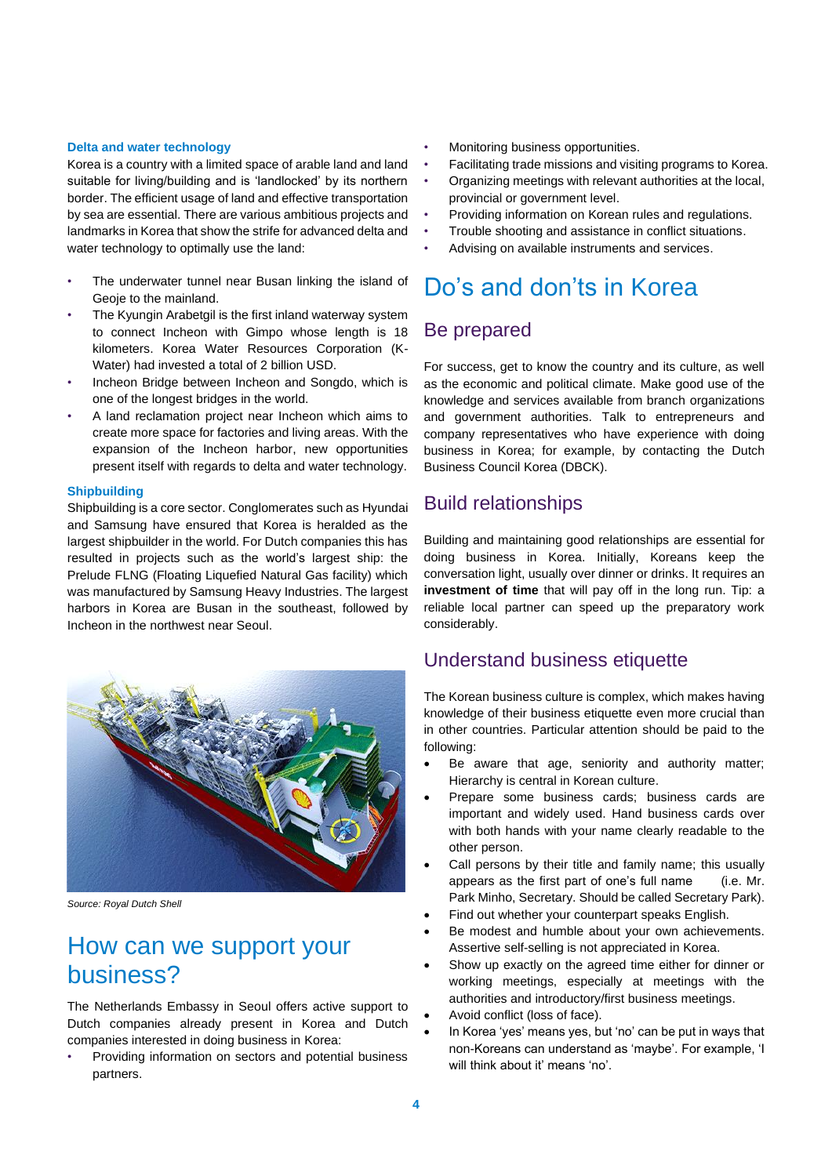#### **Delta and water technology**

Korea is a country with a limited space of arable land and land suitable for living/building and is 'landlocked' by its northern border. The efficient usage of land and effective transportation by sea are essential. There are various ambitious projects and landmarks in Korea that show the strife for advanced delta and water technology to optimally use the land:

- The underwater tunnel near Busan linking the island of Geoje to the mainland.
- The Kyungin Arabetgil is the first inland waterway system to connect Incheon with Gimpo whose length is 18 kilometers. Korea Water Resources Corporation (K-Water) had invested a total of 2 billion USD.
- Incheon Bridge between Incheon and Songdo, which is one of the longest bridges in the world.
- A land reclamation project near Incheon which aims to create more space for factories and living areas. With the expansion of the Incheon harbor, new opportunities present itself with regards to delta and water technology.

#### **Shipbuilding**

Shipbuilding is a core sector. Conglomerates such as Hyundai and Samsung have ensured that Korea is heralded as the largest shipbuilder in the world. For Dutch companies this has resulted in projects such as the world's largest ship: the Prelude FLNG (Floating Liquefied Natural Gas facility) which was manufactured by Samsung Heavy Industries. The largest harbors in Korea are Busan in the southeast, followed by Incheon in the northwest near Seoul.



*Source: Royal Dutch Shell*

### How can we support your business?

The Netherlands Embassy in Seoul offers active support to Dutch companies already present in Korea and Dutch companies interested in doing business in Korea:

• Providing information on sectors and potential business partners.

- Monitoring business opportunities.
- Facilitating trade missions and visiting programs to Korea.
- Organizing meetings with relevant authorities at the local, provincial or government level.
- Providing information on Korean rules and regulations.
- Trouble shooting and assistance in conflict situations.
- Advising on available instruments and services.

### Do's and don'ts in Korea

### Be prepared

For success, get to know the country and its culture, as well as the economic and political climate. Make good use of the knowledge and services available from branch organizations and government authorities. Talk to entrepreneurs and company representatives who have experience with doing business in Korea; for example, by contacting the Dutch Business Council Korea (DBCK).

### Build relationships

Building and maintaining good relationships are essential for doing business in Korea. Initially, Koreans keep the conversation light, usually over dinner or drinks. It requires an **investment of time** that will pay off in the long run. Tip: a reliable local partner can speed up the preparatory work considerably.

### Understand business etiquette

The Korean business culture is complex, which makes having knowledge of their business etiquette even more crucial than in other countries. Particular attention should be paid to the following:

- Be aware that age, seniority and authority matter; Hierarchy is central in Korean culture.
- Prepare some business cards; business cards are important and widely used. Hand business cards over with both hands with your name clearly readable to the other person.
- Call persons by their title and family name; this usually appears as the first part of one's full name (i.e. Mr. Park Minho, Secretary. Should be called Secretary Park).
- Find out whether your counterpart speaks English.
- Be modest and humble about your own achievements. Assertive self-selling is not appreciated in Korea.
- Show up exactly on the agreed time either for dinner or working meetings, especially at meetings with the authorities and introductory/first business meetings.
- Avoid conflict (loss of face).
- In Korea 'yes' means yes, but 'no' can be put in ways that non-Koreans can understand as 'maybe'. For example, 'I will think about it' means 'no'.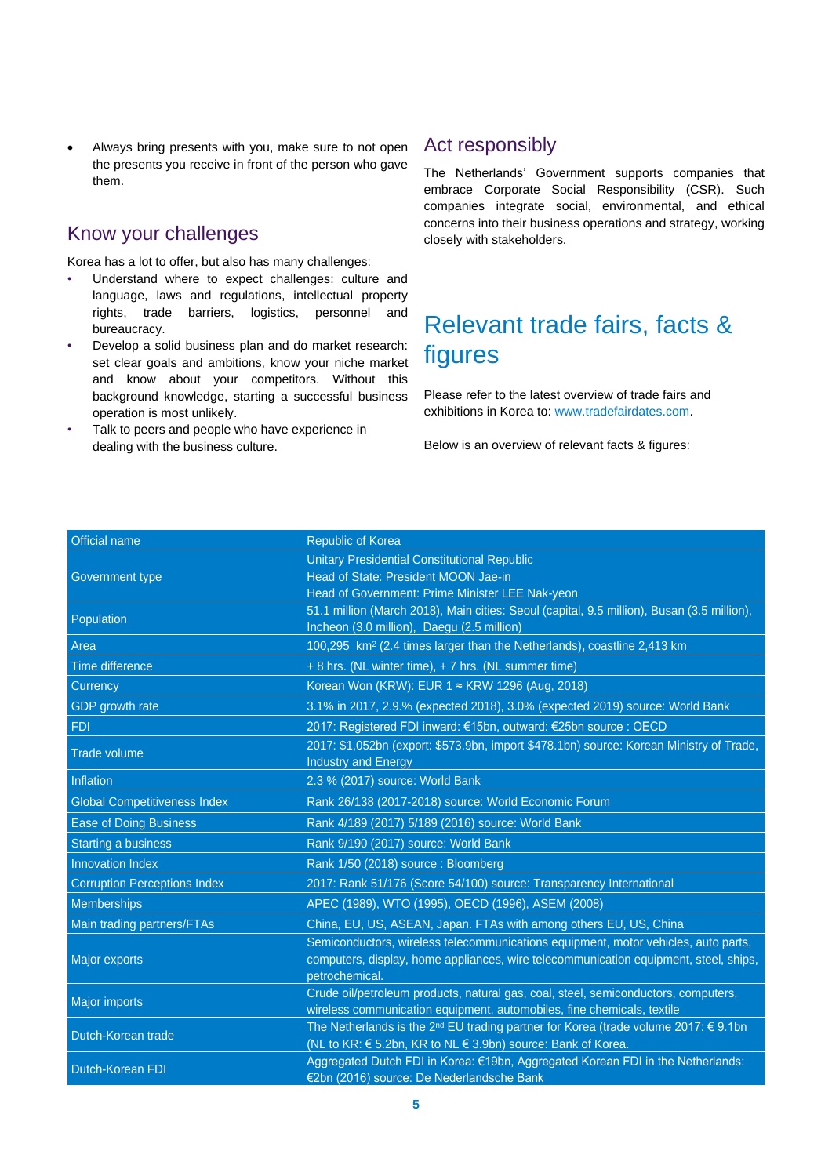Always bring presents with you, make sure to not open the presents you receive in front of the person who gave them.

### Know your challenges

Korea has a lot to offer, but also has many challenges:

- Understand where to expect challenges: culture and language, laws and regulations, intellectual property rights, trade barriers, logistics, personnel and bureaucracy.
- Develop a solid business plan and do market research: set clear goals and ambitions, know your niche market and know about your competitors. Without this background knowledge, starting a successful business operation is most unlikely.
- Talk to peers and people who have experience in dealing with the business culture.

### Act responsibly

The Netherlands' Government supports companies that embrace Corporate Social Responsibility (CSR). Such companies integrate social, environmental, and ethical concerns into their business operations and strategy, working closely with stakeholders.

### Relevant trade fairs, facts & figures

Please refer to the latest overview of trade fairs and exhibitions in Korea to: [www.tradefairdates.com.](https://www.tradefairdates.com/Fairs-South-Korea-Z120-S1.html)

Below is an overview of relevant facts & figures:

| Official name                       | <b>Republic of Korea</b>                                                                                 |
|-------------------------------------|----------------------------------------------------------------------------------------------------------|
|                                     | <b>Unitary Presidential Constitutional Republic</b>                                                      |
| Government type                     | Head of State: President MOON Jae-in                                                                     |
|                                     | Head of Government: Prime Minister LEE Nak-yeon                                                          |
| Population                          | 51.1 million (March 2018), Main cities: Seoul (capital, 9.5 million), Busan (3.5 million),               |
|                                     | Incheon (3.0 million), Daegu (2.5 million)                                                               |
| Area                                | 100,295 km <sup>2</sup> (2.4 times larger than the Netherlands), coastline 2,413 km                      |
| Time difference                     | + 8 hrs. (NL winter time), + 7 hrs. (NL summer time)                                                     |
| Currency                            | Korean Won (KRW): EUR 1 ≈ KRW 1296 (Aug, 2018)                                                           |
| GDP growth rate                     | 3.1% in 2017, 2.9.% (expected 2018), 3.0% (expected 2019) source: World Bank                             |
| <b>FDI</b>                          | 2017: Registered FDI inward: €15bn, outward: €25bn source : OECD                                         |
| <b>Trade volume</b>                 | 2017: \$1,052bn (export: \$573.9bn, import \$478.1bn) source: Korean Ministry of Trade,                  |
|                                     | <b>Industry and Energy</b>                                                                               |
| Inflation                           | 2.3 % (2017) source: World Bank                                                                          |
| <b>Global Competitiveness Index</b> | Rank 26/138 (2017-2018) source: World Economic Forum                                                     |
| <b>Ease of Doing Business</b>       | Rank 4/189 (2017) 5/189 (2016) source: World Bank                                                        |
| <b>Starting a business</b>          | Rank 9/190 (2017) source: World Bank                                                                     |
| <b>Innovation Index</b>             | Rank 1/50 (2018) source : Bloomberg                                                                      |
| <b>Corruption Perceptions Index</b> | 2017: Rank 51/176 (Score 54/100) source: Transparency International                                      |
| <b>Memberships</b>                  | APEC (1989), WTO (1995), OECD (1996), ASEM (2008)                                                        |
| Main trading partners/FTAs          | China, EU, US, ASEAN, Japan. FTAs with among others EU, US, China                                        |
|                                     | Semiconductors, wireless telecommunications equipment, motor vehicles, auto parts,                       |
| Major exports                       | computers, display, home appliances, wire telecommunication equipment, steel, ships,                     |
|                                     | petrochemical.                                                                                           |
| <b>Major imports</b>                | Crude oil/petroleum products, natural gas, coal, steel, semiconductors, computers,                       |
|                                     | wireless communication equipment, automobiles, fine chemicals, textile                                   |
| Dutch-Korean trade                  | The Netherlands is the 2 <sup>nd</sup> EU trading partner for Korea (trade volume 2017: $\epsilon$ 9.1bn |
|                                     | (NL to KR: € 5.2bn, KR to NL € 3.9bn) source: Bank of Korea.                                             |
| <b>Dutch-Korean FDI</b>             | Aggregated Dutch FDI in Korea: €19bn, Aggregated Korean FDI in the Netherlands:                          |
|                                     | €2bn (2016) source: De Nederlandsche Bank                                                                |